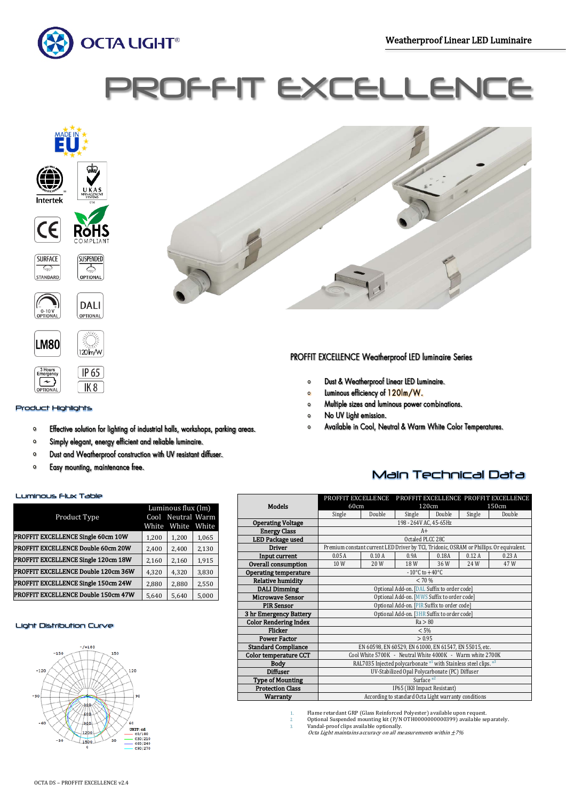Ī



# ROFFIT EXCELLE







# Product Highlights

Effective solution for lighting of industrial halls, workshops, parking areas.  $\circ$ 

J, Г

- Simply elegant, energy efficient and reliable luminaire.  $\circ$
- Dust and Weatherproof construction with UV resistant diffuser.  $\bullet$
- Easy mounting, maintenance free.  $\mathbf{o}$

Y

# Luminous Flux Table

|                                            | Luminous flux (lm) |                   |       |  |
|--------------------------------------------|--------------------|-------------------|-------|--|
| Product Type                               |                    | Cool Neutral Warm |       |  |
|                                            | White              | White             | White |  |
| PROFFIT EXCELLENCE Single 60cm 10W         | 1,200              | 1,200             | 1,065 |  |
| <b>PROFFIT EXCELLENCE Double 60cm 20W</b>  | 2,400              | 2,400             | 2,130 |  |
| PROFFIT EXCELLENCE Single 120cm 18W        | 2,160              | 2,160             | 1,915 |  |
| <b>PROFFIT EXCELLENCE Double 120cm 36W</b> | 4,320              | 4,320             | 3,830 |  |
| <b>PROFFIT EXCELLENCE Single 150cm 24W</b> | 2,880              | 2,880             | 2,550 |  |
| <b>PROFFIT EXCELLENCE Double 150cm 47W</b> | 5,640              | 5,640             | 5,000 |  |

### Light Distribution Curve





# PROFFIT EXCELLENCE Weatherproof LED luminaire Series

- Dust & Weatherproof Linear LED Luminaire.  $\circ$
- Luminous efficiency of 120lm/W.  $\alpha$
- Multiple sizes and luminous power combinations.  $\circ$
- No UV Light emission.  $\circ$
- Available in Cool, Neutral & Warm White Color Temperatures.  $\circ$

# Main Technical Data

|                              | PROFFIT EXCELLENCE                                                                      |        |        |        |        | PROFFIT EXCELLENCE PROFFIT EXCELLENCE |  |
|------------------------------|-----------------------------------------------------------------------------------------|--------|--------|--------|--------|---------------------------------------|--|
| <b>Models</b>                | 60cm                                                                                    |        | 120cm  |        |        | 150cm                                 |  |
|                              | Single                                                                                  | Double | Single | Double | Single | Double                                |  |
| <b>Operating Voltage</b>     | 198 - 264V AC, 45-65Hz                                                                  |        |        |        |        |                                       |  |
| <b>Energy Class</b>          | $A+$                                                                                    |        |        |        |        |                                       |  |
| LED Package used             | Octaled PLCC 28C                                                                        |        |        |        |        |                                       |  |
| <b>Driver</b>                | Premium constant current LED Driver by TCI, Tridonic, OSRAM or Phillips. Or equivalent. |        |        |        |        |                                       |  |
| Input current                | 0.05A<br>0.10A<br>0.12A<br>0.18A<br>0.23A<br>0.9A                                       |        |        |        |        |                                       |  |
| Overall consumption          | 10W                                                                                     | 20W    | 18 W   | 36W    | 24W    | 47 W                                  |  |
| <b>Operating temperature</b> | $-10^{\circ}$ C to $+40^{\circ}$ C                                                      |        |        |        |        |                                       |  |
| <b>Relative humidity</b>     | < 70%                                                                                   |        |        |        |        |                                       |  |
| <b>DALI</b> Dimming          | Optional Add-on. [DAL Suffix to order code]                                             |        |        |        |        |                                       |  |
| <b>Microwave Sensor</b>      | Optional Add-on. [MWS Suffix to order code]                                             |        |        |        |        |                                       |  |
| <b>PIR Sensor</b>            | Optional Add-on. [PIR Suffix to order code]                                             |        |        |        |        |                                       |  |
| 3 hr Emergency Battery       | Optional Add-on. [3HR Suffix to order code]                                             |        |        |        |        |                                       |  |
| <b>Color Rendering Index</b> | Ra > 80                                                                                 |        |        |        |        |                                       |  |
| Flicker                      | < 5%                                                                                    |        |        |        |        |                                       |  |
| <b>Power Factor</b>          | > 0.95                                                                                  |        |        |        |        |                                       |  |
| <b>Standard Compliance</b>   | EN 60598, EN 60529, EN 61000, EN 61547, EN 55015, etc.                                  |        |        |        |        |                                       |  |
| <b>Color temperature CCT</b> | Cool White 5700K - Neutral White 4000K - Warm white 2700K                               |        |        |        |        |                                       |  |
| <b>Body</b>                  | RAL7035 Injected polycarbonate *1 with Stainless steel clips. *3                        |        |        |        |        |                                       |  |
| <b>Diffuser</b>              | UV-Stabilized Opal Polycarbonate (PC) Diffuser                                          |        |        |        |        |                                       |  |
| <b>Type of Mounting</b>      | Surface $*^2$                                                                           |        |        |        |        |                                       |  |
| <b>Protection Class</b>      | IP65 (IK8 Impact Resistant)                                                             |        |        |        |        |                                       |  |
| <b>Warranty</b>              | According to standard Octa Light warranty conditions                                    |        |        |        |        |                                       |  |

1. Flame retardant GRP (Glass Reinforced Polyester) available upon request.

- 2. Optional Suspended mounting kit (P/N OTH0000000000399) available separately. 3. Vandal-proof clips available optionally.
- Octa Light maintains accuracy on all measurements within  $\pm$ 7%